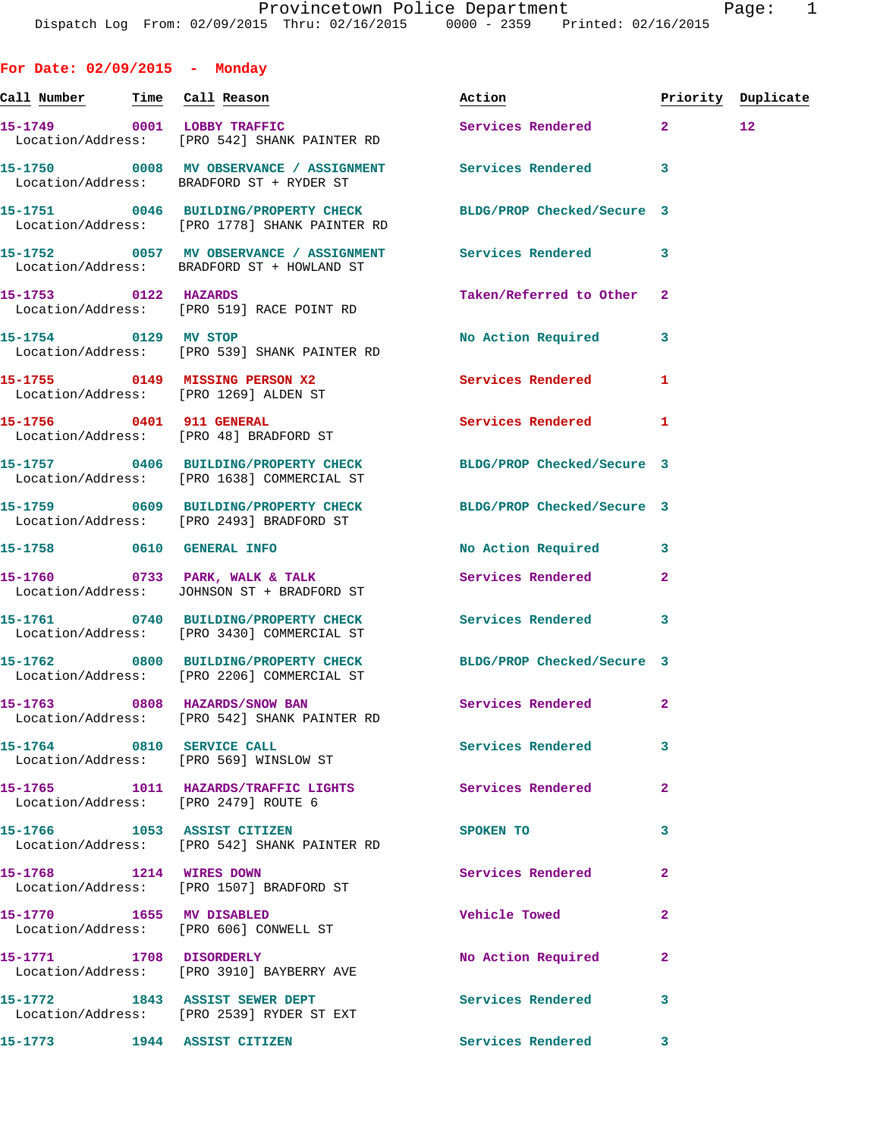| For Date: $02/09/2015$ - Monday |                                                                                                                  |                          |                         |                 |
|---------------------------------|------------------------------------------------------------------------------------------------------------------|--------------------------|-------------------------|-----------------|
|                                 | <u>Call Number — Time Call Reason</u>                                                                            | Action                   | Priority Duplicate      |                 |
|                                 | 15-1749 0001 LOBBY TRAFFIC<br>Location/Address: [PRO 542] SHANK PAINTER RD                                       | Services Rendered 2      |                         | 12 <sub>1</sub> |
|                                 | 15-1750 0008 MV OBSERVANCE / ASSIGNMENT Services Rendered<br>Location/Address: BRADFORD ST + RYDER ST            |                          | $\overline{\mathbf{3}}$ |                 |
|                                 | 15-1751 0046 BUILDING/PROPERTY CHECK BLDG/PROP Checked/Secure 3<br>Location/Address: [PRO 1778] SHANK PAINTER RD |                          |                         |                 |
|                                 | 15-1752 0057 MV OBSERVANCE / ASSIGNMENT Services Rendered<br>Location/Address: BRADFORD ST + HOWLAND ST          |                          | 3                       |                 |
| 15-1753 0122 HAZARDS            | Location/Address: [PRO 519] RACE POINT RD                                                                        | Taken/Referred to Other  | $\mathbf{2}$            |                 |
|                                 | 15-1754 0129 MV STOP<br>Location/Address: [PRO 539] SHANK PAINTER RD                                             | No Action Required       | 3                       |                 |
|                                 | 15-1755 0149 MISSING PERSON X2<br>Location/Address: [PRO 1269] ALDEN ST                                          | <b>Services Rendered</b> | 1                       |                 |
|                                 | 15-1756 0401 911 GENERAL<br>Location/Address: [PRO 48] BRADFORD ST                                               | Services Rendered        | 1                       |                 |
|                                 | 15-1757 0406 BUILDING/PROPERTY CHECK BLDG/PROP Checked/Secure 3<br>Location/Address: [PRO 1638] COMMERCIAL ST    |                          |                         |                 |
|                                 | 15-1759 0609 BUILDING/PROPERTY CHECK BLDG/PROP Checked/Secure 3<br>Location/Address: [PRO 2493] BRADFORD ST      |                          |                         |                 |
|                                 | 15-1758 0610 GENERAL INFO                                                                                        | No Action Required       | 3                       |                 |
|                                 | 15-1760 0733 PARK, WALK & TALK<br>Location/Address: JOHNSON ST + BRADFORD ST                                     | Services Rendered        | $\mathbf{2}$            |                 |
|                                 | 15-1761 0740 BUILDING/PROPERTY CHECK Services Rendered 3<br>Location/Address: [PRO 3430] COMMERCIAL ST           |                          |                         |                 |
|                                 | 15-1762 0800 BUILDING/PROPERTY CHECK BLDG/PROP Checked/Secure 3<br>Location/Address: [PRO 2206] COMMERCIAL ST    |                          |                         |                 |
|                                 | 15-1763 0808 HAZARDS/SNOW BAN<br>Location/Address: [PRO 542] SHANK PAINTER RD                                    | Services Rendered 2      |                         |                 |
| 15-1764 0810 SERVICE CALL       | Location/Address: [PRO 569] WINSLOW ST                                                                           | Services Rendered        | 3                       |                 |
|                                 | 15-1765 1011 HAZARDS/TRAFFIC LIGHTS<br>Location/Address: [PRO 2479] ROUTE 6                                      | Services Rendered        | $\overline{a}$          |                 |
|                                 | 15-1766 1053 ASSIST CITIZEN<br>Location/Address: [PRO 542] SHANK PAINTER RD                                      | SPOKEN TO                | 3                       |                 |
| 15-1768 1214 WIRES DOWN         | Location/Address: [PRO 1507] BRADFORD ST                                                                         | Services Rendered        | $\mathbf{2}$            |                 |
|                                 | 15-1770 1655 MV DISABLED<br>Location/Address: [PRO 606] CONWELL ST                                               | Vehicle Towed            | $\overline{a}$          |                 |
| 15-1771 1708 DISORDERLY         | Location/Address: [PRO 3910] BAYBERRY AVE                                                                        | No Action Required       | $\mathbf{2}$            |                 |
|                                 | 15-1772 1843 ASSIST SEWER DEPT<br>Location/Address: [PRO 2539] RYDER ST EXT                                      | <b>Services Rendered</b> | 3                       |                 |
| 15-1773                         | 1944 ASSIST CITIZEN                                                                                              | Services Rendered        | 3                       |                 |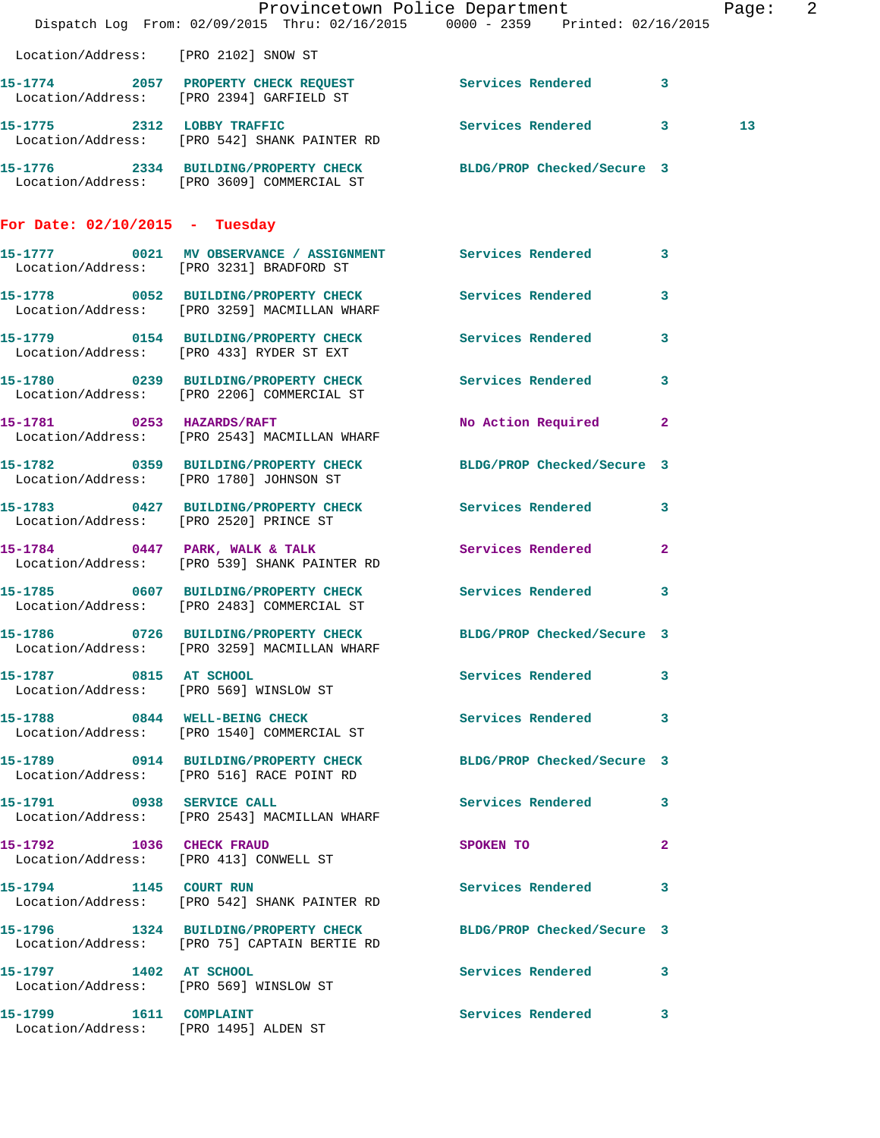|                                                                  | Dispatch Log From: 02/09/2015 Thru: 02/16/2015 0000 - 2359 Printed: 02/16/2015                                  | Provincetown Police Department          |                         | Page: 2         |  |
|------------------------------------------------------------------|-----------------------------------------------------------------------------------------------------------------|-----------------------------------------|-------------------------|-----------------|--|
| Location/Address: [PRO 2102] SNOW ST                             |                                                                                                                 |                                         |                         |                 |  |
|                                                                  | 15-1774 2057 PROPERTY CHECK REQUEST<br>ENGLEST Services Rendered 13<br>Location/Address: [PRO 2394] GARFIELD ST |                                         |                         |                 |  |
|                                                                  | 15-1775 2312 LOBBY TRAFFIC<br>Location/Address: [PRO 542] SHANK PAINTER RD                                      | Services Rendered 3                     |                         | 13 <sub>1</sub> |  |
|                                                                  | 15-1776 2334 BUILDING/PROPERTY CHECK BLDG/PROP Checked/Secure 3<br>Location/Address: [PRO 3609] COMMERCIAL ST   |                                         |                         |                 |  |
| For Date: $02/10/2015$ - Tuesday                                 |                                                                                                                 |                                         |                         |                 |  |
|                                                                  | 15-1777 0021 MV OBSERVANCE / ASSIGNMENT Services Rendered 3<br>Location/Address: [PRO 3231] BRADFORD ST         |                                         |                         |                 |  |
|                                                                  | 15-1778 0052 BUILDING/PROPERTY CHECK Services Rendered 3<br>Location/Address: [PRO 3259] MACMILLAN WHARF        |                                         |                         |                 |  |
|                                                                  | 15-1779 0154 BUILDING/PROPERTY CHECK Services Rendered 3<br>Location/Address: [PRO 433] RYDER ST EXT            |                                         |                         |                 |  |
|                                                                  | 15-1780 0239 BUILDING/PROPERTY CHECK<br>Location/Address: [PRO 2206] COMMERCIAL ST                              | <b>Services Rendered</b>                | $\mathbf{3}$            |                 |  |
| 15-1781 0253 HAZARDS/RAFT                                        | Location/Address: [PRO 2543] MACMILLAN WHARF                                                                    | No Action Required 2                    |                         |                 |  |
|                                                                  | 15-1782 0359 BUILDING/PROPERTY CHECK<br>Location/Address: [PRO 1780] JOHNSON ST                                 | BLDG/PROP Checked/Secure 3              |                         |                 |  |
| Location/Address: [PRO 2520] PRINCE ST                           | 15-1783 0427 BUILDING/PROPERTY CHECK Services Rendered 3                                                        |                                         |                         |                 |  |
|                                                                  | 15-1784 0447 PARK, WALK & TALK<br>Location/Address: [PRO 539] SHANK PAINTER RD                                  | Services Rendered                       | $\mathbf{2}$            |                 |  |
|                                                                  | 15-1785 0607 BUILDING/PROPERTY CHECK Services Rendered<br>Location/Address: [PRO 2483] COMMERCIAL ST            |                                         | $\overline{\mathbf{3}}$ |                 |  |
|                                                                  | 15-1786 0726 BUILDING/PROPERTY CHECK BLDG/PROP Checked/Secure 3<br>Location/Address: [PRO 3259] MACMILLAN WHARF |                                         |                         |                 |  |
| 15-1787 0815 AT SCHOOL                                           | Location/Address: [PRO 569] WINSLOW ST                                                                          | Services Rendered 3                     |                         |                 |  |
|                                                                  | 15-1788 0844 WELL-BEING CHECK<br>Location/Address: [PRO 1540] COMMERCIAL ST                                     | Services Rendered 3                     |                         |                 |  |
|                                                                  | 15-1789 0914 BUILDING/PROPERTY CHECK BLDG/PROP Checked/Secure 3<br>Location/Address: [PRO 516] RACE POINT RD    |                                         |                         |                 |  |
|                                                                  | 15-1791 0938 SERVICE CALL<br>Location/Address: [PRO 2543] MACMILLAN WHARF                                       | Services Rendered 3                     |                         |                 |  |
| 15-1792 1036 CHECK FRAUD                                         | Location/Address: [PRO 413] CONWELL ST                                                                          | SPOKEN TO DESCRIPTION OF REAL PROPERTY. | $\mathbf{2}$            |                 |  |
| 15-1794 1145 COURT RUN                                           | Location/Address: [PRO 542] SHANK PAINTER RD                                                                    | Services Rendered 3                     |                         |                 |  |
|                                                                  | 15-1796 1324 BUILDING/PROPERTY CHECK BLDG/PROP Checked/Secure 3<br>Location/Address: [PRO 75] CAPTAIN BERTIE RD |                                         |                         |                 |  |
| 15-1797 1402 AT SCHOOL<br>Location/Address: [PRO 569] WINSLOW ST |                                                                                                                 | Services Rendered 3                     |                         |                 |  |
| 15-1799   1611   COMPLAINT                                       | Location/Address: [PRO 1495] ALDEN ST                                                                           | Services Rendered 3                     |                         |                 |  |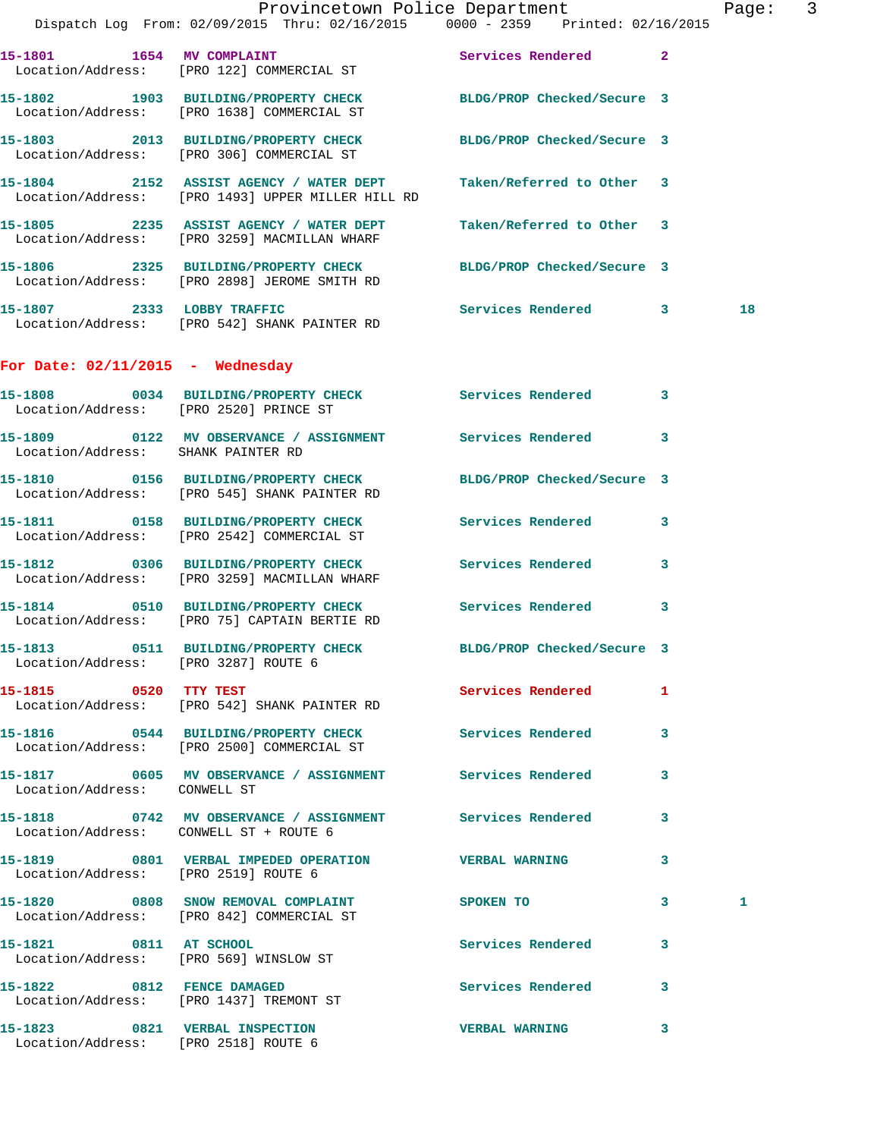|                            | Provincetown Police Department                                                                                    |                             | Page: | 3 |
|----------------------------|-------------------------------------------------------------------------------------------------------------------|-----------------------------|-------|---|
|                            | Dispatch Log From: 02/09/2015 Thru: 02/16/2015 0000 - 2359 Printed: 02/16/2015                                    |                             |       |   |
| 15-1801 1654 MV COMPLAINT  | Location/Address: [PRO 122] COMMERCIAL ST                                                                         | <b>Services Rendered 22</b> |       |   |
|                            | 15-1802 1903 BUILDING/PROPERTY CHECK<br>Location/Address: [PRO 1638] COMMERCIAL ST                                | BLDG/PROP Checked/Secure 3  |       |   |
|                            | 15-1803 2013 BUILDING/PROPERTY CHECK BLDG/PROP Checked/Secure 3<br>Location/Address: [PRO 306] COMMERCIAL ST      |                             |       |   |
|                            | 15-1804 2152 ASSIST AGENCY / WATER DEPT<br>Location/Address: [PRO 1493] UPPER MILLER HILL RD                      | Taken/Referred to Other 3   |       |   |
|                            | 15-1805 2235 ASSIST AGENCY / WATER DEPT Taken/Referred to Other 3<br>Location/Address: [PRO 3259] MACMILLAN WHARF |                             |       |   |
|                            | 15-1806  2325 BUILDING/PROPERTY CHECK BLDG/PROP Checked/Secure 3<br>Location/Address: [PRO 2898] JEROME SMITH RD  |                             |       |   |
| 15-1807 2333 LOBBY TRAFFIC | Location/Address: [PRO 542] SHANK PAINTER RD                                                                      | Services Rendered 3         | 18    |   |

## **For Date: 02/11/2015 - Wednesday**

|                                      | 15-1808       0034   BUILDING/PROPERTY CHECK        Services Rendered<br>Location/Address: [PRO 2520] PRINCE ST       |                          | 3            |   |
|--------------------------------------|-----------------------------------------------------------------------------------------------------------------------|--------------------------|--------------|---|
| Location/Address: SHANK PAINTER RD   | 15-1809 0122 MV OBSERVANCE / ASSIGNMENT Services Rendered 3                                                           |                          |              |   |
|                                      | 15-1810 		 0156 BUILDING/PROPERTY CHECK 			BLDG/PROP Checked/Secure 3<br>Location/Address: [PRO 545] SHANK PAINTER RD |                          |              |   |
|                                      | 15-1811 0158 BUILDING/PROPERTY CHECK Services Rendered<br>Location/Address: [PRO 2542] COMMERCIAL ST                  |                          | $\mathbf{3}$ |   |
|                                      | 15-1812 0306 BUILDING/PROPERTY CHECK Services Rendered<br>Location/Address: [PRO 3259] MACMILLAN WHARF                |                          | 3            |   |
|                                      | 15-1814 0510 BUILDING/PROPERTY CHECK Services Rendered<br>Location/Address: [PRO 75] CAPTAIN BERTIE RD                |                          | 3            |   |
| Location/Address: [PRO 3287] ROUTE 6 | 15-1813 0511 BUILDING/PROPERTY CHECK BLDG/PROP Checked/Secure 3                                                       |                          |              |   |
| 15-1815 0520 TTY TEST                | Location/Address: [PRO 542] SHANK PAINTER RD                                                                          | Services Rendered        | $\mathbf{1}$ |   |
|                                      | 15-1816 0544 BUILDING/PROPERTY CHECK Services Rendered<br>Location/Address: [PRO 2500] COMMERCIAL ST                  |                          | 3            |   |
| Location/Address: CONWELL ST         | 15-1817 6605 MV OBSERVANCE / ASSIGNMENT Services Rendered                                                             |                          | 3            |   |
|                                      | 15-1818 6742 MV OBSERVANCE / ASSIGNMENT Services Rendered<br>Location/Address: CONWELL ST + ROUTE 6                   |                          | 3            |   |
| Location/Address: [PRO 2519] ROUTE 6 |                                                                                                                       |                          | 3            |   |
|                                      | 15-1820 0808 SNOW REMOVAL COMPLAINT<br>Location/Address: [PRO 842] COMMERCIAL ST                                      | SPOKEN TO                | $\mathbf{3}$ | 1 |
| 15-1821 0811 AT SCHOOL               | Location/Address: [PRO 569] WINSLOW ST                                                                                | <b>Services Rendered</b> | 3            |   |
|                                      | 15-1822 0812 FENCE DAMAGED<br>Location/Address: [PRO 1437] TREMONT ST                                                 | Services Rendered        | $\mathbf{3}$ |   |
| Location/Address: [PRO 2518] ROUTE 6 | 15-1823 0821 VERBAL INSPECTION                                                                                        | <b>VERBAL WARNING</b>    | 3            |   |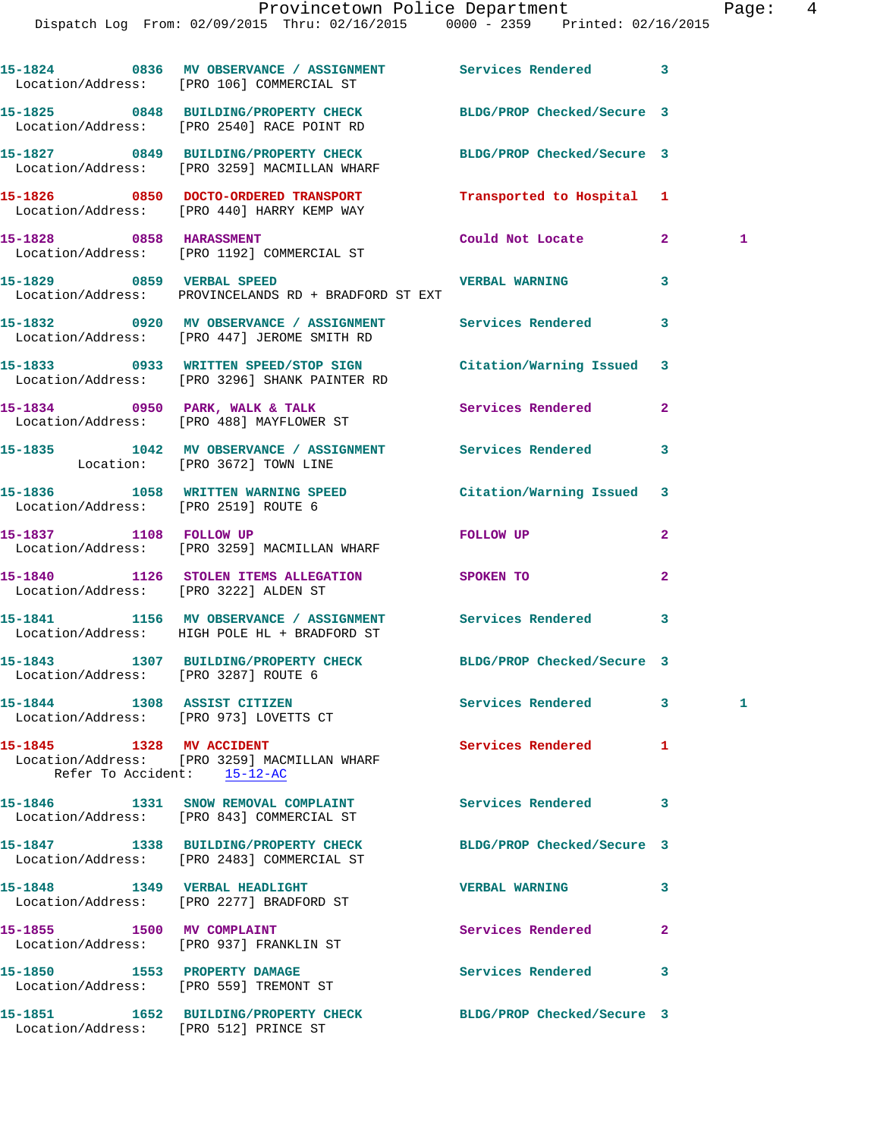|                                       | Provincetown Police Department The Rage: 4<br>Dispatch Log From: 02/09/2015 Thru: 02/16/2015 0000 - 2359 Printed: 02/16/2015 |                            |                |              |  |
|---------------------------------------|------------------------------------------------------------------------------------------------------------------------------|----------------------------|----------------|--------------|--|
|                                       | 15-1824 0836 MV OBSERVANCE / ASSIGNMENT Services Rendered 3<br>Location/Address: [PRO 106] COMMERCIAL ST                     |                            |                |              |  |
|                                       | 15-1825 0848 BUILDING/PROPERTY CHECK BLDG/PROP Checked/Secure 3<br>Location/Address: [PRO 2540] RACE POINT RD                |                            |                |              |  |
|                                       | 15-1827 0849 BUILDING/PROPERTY CHECK BLDG/PROP Checked/Secure 3<br>Location/Address: [PRO 3259] MACMILLAN WHARF              |                            |                |              |  |
|                                       | 15-1826 0850 DOCTO-ORDERED TRANSPORT Transported to Hospital 1<br>Location/Address: [PRO 440] HARRY KEMP WAY                 |                            |                |              |  |
|                                       | 15-1828 0858 HARASSMENT<br>Location/Address: [PRO 1192] COMMERCIAL ST                                                        | Could Not Locate 2         |                | $\mathbf{1}$ |  |
| 15-1829 0859 VERBAL SPEED             | Location/Address: PROVINCELANDS RD + BRADFORD ST EXT                                                                         | <b>VERBAL WARNING 3</b>    |                |              |  |
|                                       | 15-1832  0920 MV OBSERVANCE / ASSIGNMENT Services Rendered 3<br>Location/Address: [PRO 447] JEROME SMITH RD                  |                            |                |              |  |
|                                       | 15-1833 0933 WRITTEN SPEED/STOP SIGN Citation/Warning Issued 3<br>Location/Address: [PRO 3296] SHANK PAINTER RD              |                            |                |              |  |
|                                       | 15-1834      0950 PARK, WALK & TALK           Services Rendered      2<br>Location/Address:   [PRO 488] MAYFLOWER ST         |                            |                |              |  |
|                                       | 15-1835 1042 MV OBSERVANCE / ASSIGNMENT Services Rendered 3<br>Location: [PRO 3672] TOWN LINE                                |                            |                |              |  |
| Location/Address: [PRO 2519] ROUTE 6  | 15-1836 1058 WRITTEN WARNING SPEED Citation/Warning Issued 3                                                                 |                            |                |              |  |
|                                       | 15-1837 1108 FOLLOW UP<br>Location/Address: [PRO 3259] MACMILLAN WHARF                                                       | FOLLOW UP                  | $\mathbf{2}$   |              |  |
| Location/Address: [PRO 3222] ALDEN ST | 15-1840 1126 STOLEN ITEMS ALLEGATION SPOKEN TO                                                                               |                            | $\overline{2}$ |              |  |
|                                       | 15-1841 1156 MV OBSERVANCE / ASSIGNMENT Services Rendered 3<br>Location/Address: HIGH POLE HL + BRADFORD ST                  |                            |                |              |  |
|                                       | 15-1843 1307 BUILDING/PROPERTY CHECK                                                                                         | BLDG/PROP Checked/Secure 3 |                |              |  |

**15-1844 1308 ASSIST CITIZEN Services Rendered 3 1**  Location/Address: [PRO 973] LOVETTS CT

**15-1845 1328 MV ACCIDENT Services Rendered 1**  Location/Address: [PRO 3259] MACMILLAN WHARF Refer To Accident: 15-12-AC

Location/Address: [PRO 3287] ROUTE 6

**15-1846 1331 SNOW REMOVAL COMPLAINT Services Rendered 3**  Location/Address: [PRO 843] COMMERCIAL ST **15-1847 1338 BUILDING/PROPERTY CHECK BLDG/PROP Checked/Secure 3**  Location/Address: [PRO 2483] COMMERCIAL ST **15-1848 1349 VERBAL HEADLIGHT VERBAL WARNING 3**  Location/Address: [PRO 2277] BRADFORD ST **15-1855 1500 MV COMPLAINT Services Rendered 2**  Location/Address: [PRO 937] FRANKLIN ST **15-1850 1553 PROPERTY DAMAGE Services Rendered 3**  Location/Address: [PRO 559] TREMONT ST

**15-1851 1652 BUILDING/PROPERTY CHECK BLDG/PROP Checked/Secure 3**  Location/Address: [PRO 512] PRINCE ST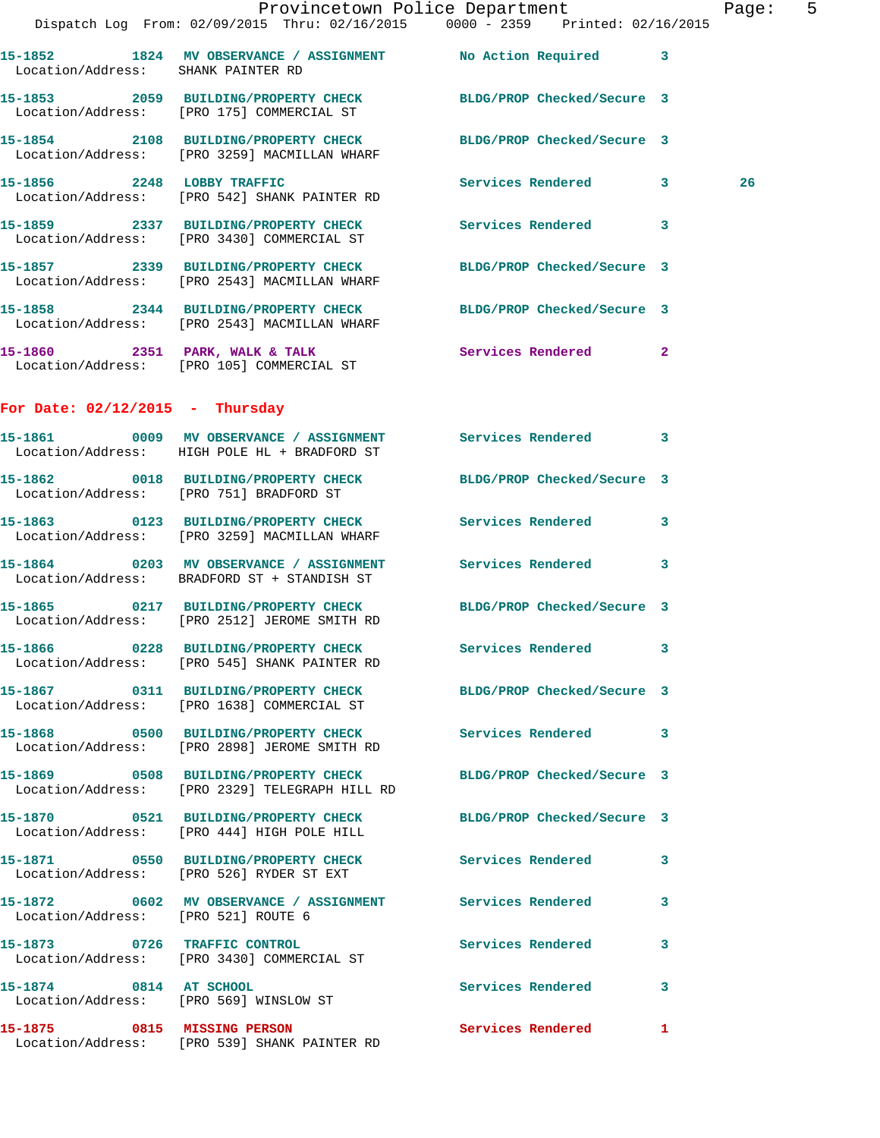|                                     | Dispatch Log From: 02/09/2015 Thru: 02/16/2015 0000 - 2359 Printed: 02/16/2015                                  | Provincetown Police Department | Page: 5 |
|-------------------------------------|-----------------------------------------------------------------------------------------------------------------|--------------------------------|---------|
| Location/Address: SHANK PAINTER RD  | 15-1852 1824 MV OBSERVANCE / ASSIGNMENT No Action Required 3                                                    |                                |         |
|                                     | 15-1853 2059 BUILDING/PROPERTY CHECK BLDG/PROP Checked/Secure 3<br>Location/Address: [PRO 175] COMMERCIAL ST    |                                |         |
|                                     | 15-1854 2108 BUILDING/PROPERTY CHECK<br>Location/Address: [PRO 3259] MACMILLAN WHARF                            | BLDG/PROP Checked/Secure 3     |         |
|                                     | 15-1856 2248 LOBBY TRAFFIC<br>Location/Address: [PRO 542] SHANK PAINTER RD                                      | Services Rendered 3            | 26      |
|                                     | 15-1859 2337 BUILDING/PROPERTY CHECK Services Rendered 3<br>Location/Address: [PRO 3430] COMMERCIAL ST          |                                |         |
|                                     | 15-1857 2339 BUILDING/PROPERTY CHECK BLDG/PROP Checked/Secure 3<br>Location/Address: [PRO 2543] MACMILLAN WHARF |                                |         |
|                                     | 15-1858 2344 BUILDING/PROPERTY CHECK<br>Location/Address: [PRO 2543] MACMILLAN WHARF                            | BLDG/PROP Checked/Secure 3     |         |
|                                     | 15-1860 2351 PARK, WALK & TALK 3 Services Rendered 2<br>Location/Address: [PRO 105] COMMERCIAL ST               |                                |         |
| For Date: $02/12/2015$ - Thursday   |                                                                                                                 |                                |         |
|                                     | 15-1861 0009 MV OBSERVANCE / ASSIGNMENT Services Rendered 3<br>Location/Address: HIGH POLE HL + BRADFORD ST     |                                |         |
|                                     | 15-1862 0018 BUILDING/PROPERTY CHECK<br>Location/Address: [PRO 751] BRADFORD ST                                 | BLDG/PROP Checked/Secure 3     |         |
|                                     | 15-1863 0123 BUILDING/PROPERTY CHECK Services Rendered 3<br>Location/Address: [PRO 3259] MACMILLAN WHARF        |                                |         |
|                                     | 15-1864 0203 MV OBSERVANCE / ASSIGNMENT Services Rendered 3<br>Location/Address: BRADFORD ST + STANDISH ST      |                                |         |
|                                     | 15-1865 0217 BUILDING/PROPERTY CHECK BLDG/PROP Checked/Secure 3<br>Location/Address: [PRO 2512] JEROME SMITH RD |                                |         |
|                                     | 15-1866 0228 BUILDING/PROPERTY CHECK<br>Location/Address: [PRO 545] SHANK PAINTER RD                            | Services Rendered 3            |         |
|                                     | 15-1867 0311 BUILDING/PROPERTY CHECK<br>Location/Address: [PRO 1638] COMMERCIAL ST                              | BLDG/PROP Checked/Secure 3     |         |
|                                     | 15-1868 0500 BUILDING/PROPERTY CHECK<br>Location/Address: [PRO 2898] JEROME SMITH RD                            | Services Rendered 3            |         |
|                                     | 15-1869 0508 BUILDING/PROPERTY CHECK<br>Location/Address: [PRO 2329] TELEGRAPH HILL RD                          | BLDG/PROP Checked/Secure 3     |         |
|                                     | 15-1870 0521 BUILDING/PROPERTY CHECK<br>Location/Address: [PRO 444] HIGH POLE HILL                              | BLDG/PROP Checked/Secure 3     |         |
|                                     | 15-1871 0550 BUILDING/PROPERTY CHECK Services Rendered 3<br>Location/Address: [PRO 526] RYDER ST EXT            |                                |         |
| Location/Address: [PRO 521] ROUTE 6 |                                                                                                                 |                                | 3       |
| 15-1873 0726 TRAFFIC CONTROL        | Location/Address: [PRO 3430] COMMERCIAL ST                                                                      | Services Rendered              | 3       |
|                                     | 15-1874 0814 AT SCHOOL<br>Location/Address: [PRO 569] WINSLOW ST                                                | Services Rendered              | 3       |
| 15-1875 0815 MISSING PERSON         |                                                                                                                 | Services Rendered 1            |         |

Location/Address: [PRO 539] SHANK PAINTER RD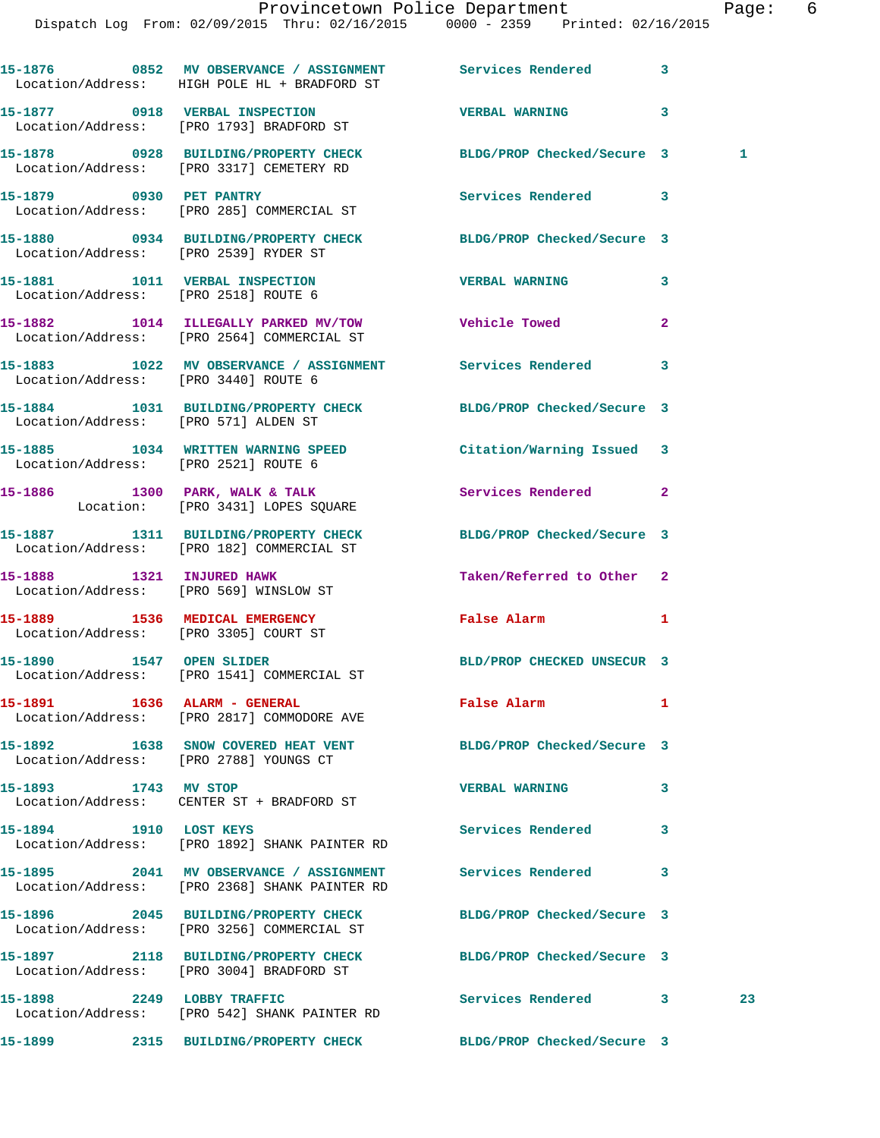|                      | 15-1876 6852 MV OBSERVANCE / ASSIGNMENT Services Rendered<br>Location/Address: HIGH POLE HL + BRADFORD ST  |                            | $\mathbf{3}$ |    |
|----------------------|------------------------------------------------------------------------------------------------------------|----------------------------|--------------|----|
|                      | 15-1877 0918 VERBAL INSPECTION<br>Location/Address: [PRO 1793] BRADFORD ST                                 | <b>VERBAL WARNING</b>      | 3            |    |
|                      | 15-1878 0928 BUILDING/PROPERTY CHECK<br>Location/Address: [PRO 3317] CEMETERY RD                           | BLDG/PROP Checked/Secure 3 |              | 1  |
|                      | 15-1879 0930 PET PANTRY<br>Location/Address: [PRO 285] COMMERCIAL ST                                       | Services Rendered 3        |              |    |
|                      | 15-1880 0934 BUILDING/PROPERTY CHECK BLDG/PROP Checked/Secure 3<br>Location/Address: [PRO 2539] RYDER ST   |                            |              |    |
|                      | 15-1881 1011 VERBAL INSPECTION<br>Location/Address: [PRO 2518] ROUTE 6                                     | <b>VERBAL WARNING</b>      | 3            |    |
|                      | 15-1882 1014 ILLEGALLY PARKED MV/TOW Vehicle Towed<br>Location/Address: [PRO 2564] COMMERCIAL ST           |                            | $\mathbf{2}$ |    |
|                      | 15-1883 1022 MV OBSERVANCE / ASSIGNMENT Services Rendered 3<br>Location/Address: [PRO 3440] ROUTE 6        |                            |              |    |
|                      | 15-1884 1031 BUILDING/PROPERTY CHECK BLDG/PROP Checked/Secure 3<br>Location/Address: [PRO 571] ALDEN ST    |                            |              |    |
|                      | 15-1885 1034 WRITTEN WARNING SPEED<br>Location/Address: [PRO 2521] ROUTE 6                                 | Citation/Warning Issued 3  |              |    |
|                      | 15-1886 1300 PARK, WALK & TALK<br>Location: [PRO 3431] LOPES SQUARE                                        | Services Rendered          | $\mathbf{2}$ |    |
|                      | 15-1887 1311 BUILDING/PROPERTY CHECK<br>Location/Address: [PRO 182] COMMERCIAL ST                          | BLDG/PROP Checked/Secure 3 |              |    |
|                      | 15-1888 1321 INJURED HAWK<br>Location/Address: [PRO 569] WINSLOW ST                                        | Taken/Referred to Other 2  |              |    |
|                      | 15-1889 1536 MEDICAL EMERGENCY<br>Location/Address: [PRO 3305] COURT ST                                    | False Alarm                | $\mathbf{1}$ |    |
|                      | 15-1890 1547 OPEN SLIDER<br>Location/Address: [PRO 1541] COMMERCIAL ST                                     | BLD/PROP CHECKED UNSECUR 3 |              |    |
|                      | 15-1891 1636 ALARM - GENERAL<br>Location/Address: [PRO 2817] COMMODORE AVE                                 | False Alarm                | $\mathbf{1}$ |    |
|                      | 15-1892 1638 SNOW COVERED HEAT VENT<br>Location/Address: [PRO 2788] YOUNGS CT                              | BLDG/PROP Checked/Secure 3 |              |    |
| 15-1893 1743 MV STOP | Location/Address: CENTER ST + BRADFORD ST                                                                  | <b>VERBAL WARNING</b>      | 3            |    |
|                      | 15-1894 1910 LOST KEYS<br>Location/Address: [PRO 1892] SHANK PAINTER RD                                    | Services Rendered          | 3            |    |
|                      | 15-1895 2041 MV OBSERVANCE / ASSIGNMENT Services Rendered<br>Location/Address: [PRO 2368] SHANK PAINTER RD |                            | 3            |    |
|                      | 15-1896 2045 BUILDING/PROPERTY CHECK<br>Location/Address: [PRO 3256] COMMERCIAL ST                         | BLDG/PROP Checked/Secure 3 |              |    |
|                      | 15-1897 2118 BUILDING/PROPERTY CHECK<br>Location/Address: [PRO 3004] BRADFORD ST                           | BLDG/PROP Checked/Secure 3 |              |    |
|                      | 15-1898 2249 LOBBY TRAFFIC<br>Location/Address: [PRO 542] SHANK PAINTER RD                                 | Services Rendered 3        |              | 23 |
|                      | 15-1899 2315 BUILDING/PROPERTY CHECK                                                                       | BLDG/PROP Checked/Secure 3 |              |    |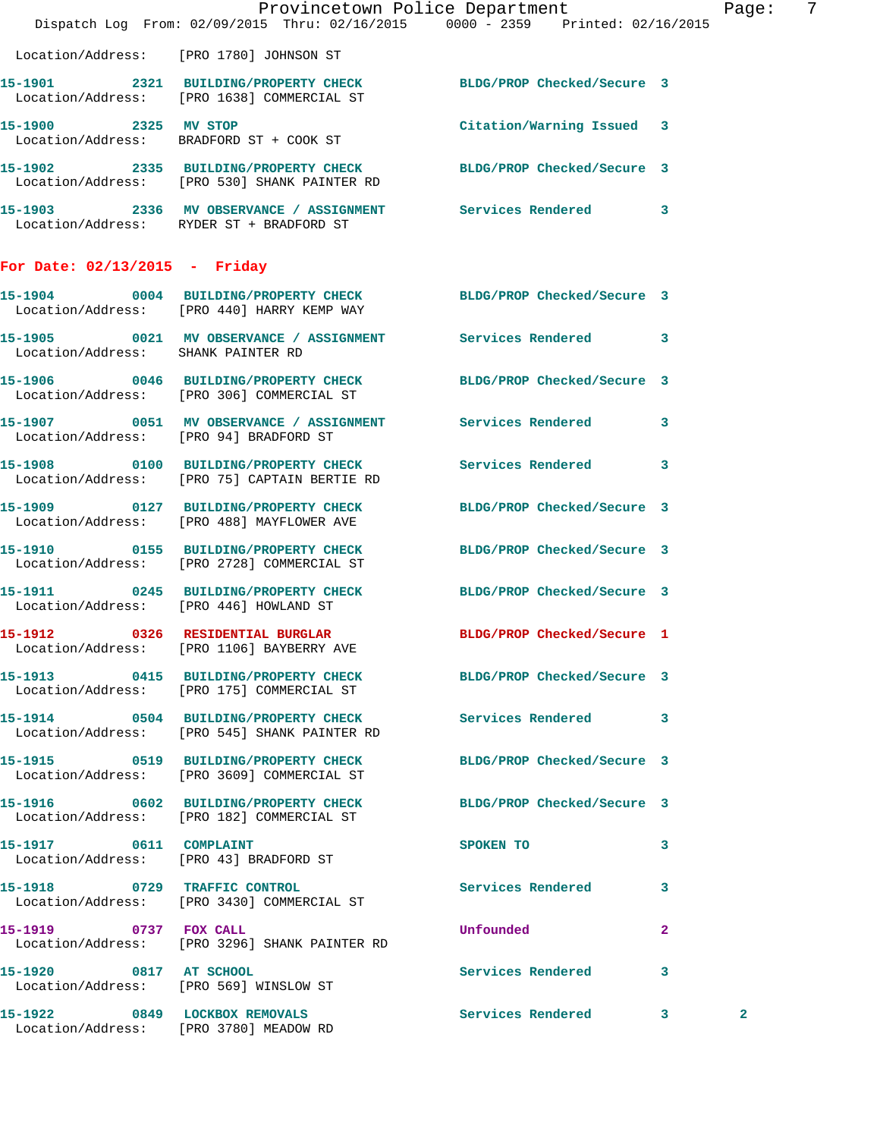|                                        | Dispatch Log From: 02/09/2015 Thru: 02/16/2015 0000 - 2359 Printed: 02/16/2015                                  | Provincetown Police Department |              | Page: 7 |
|----------------------------------------|-----------------------------------------------------------------------------------------------------------------|--------------------------------|--------------|---------|
|                                        |                                                                                                                 |                                |              |         |
|                                        | Location/Address: [PRO 1780] JOHNSON ST                                                                         |                                |              |         |
|                                        | 15-1901 2321 BUILDING/PROPERTY CHECK BLDG/PROP Checked/Secure 3<br>Location/Address: [PRO 1638] COMMERCIAL ST   |                                |              |         |
| 15-1900 2325 MV STOP                   | Location/Address: BRADFORD ST + COOK ST                                                                         | Citation/Warning Issued 3      |              |         |
|                                        | 15-1902 2335 BUILDING/PROPERTY CHECK BLDG/PROP Checked/Secure 3<br>Location/Address: [PRO 530] SHANK PAINTER RD |                                |              |         |
|                                        | 15-1903 2336 MV OBSERVANCE / ASSIGNMENT Services Rendered 3<br>Location/Address: RYDER ST + BRADFORD ST         |                                |              |         |
| For Date: $02/13/2015$ - Friday        |                                                                                                                 |                                |              |         |
|                                        | 15-1904 0004 BUILDING/PROPERTY CHECK BLDG/PROP Checked/Secure 3<br>Location/Address: [PRO 440] HARRY KEMP WAY   |                                |              |         |
| Location/Address: SHANK PAINTER RD     | 15-1905 0021 MV OBSERVANCE / ASSIGNMENT Services Rendered 3                                                     |                                |              |         |
|                                        | 15-1906 0046 BUILDING/PROPERTY CHECK BLDG/PROP Checked/Secure 3<br>Location/Address: [PRO 306] COMMERCIAL ST    |                                |              |         |
|                                        | 15-1907 0051 MV OBSERVANCE / ASSIGNMENT Services Rendered 3<br>Location/Address: [PRO 94] BRADFORD ST           |                                |              |         |
|                                        | 15-1908 0100 BUILDING/PROPERTY CHECK Services Rendered 3<br>Location/Address: [PRO 75] CAPTAIN BERTIE RD        |                                |              |         |
|                                        | 15-1909 0127 BUILDING/PROPERTY CHECK BLDG/PROP Checked/Secure 3<br>Location/Address: [PRO 488] MAYFLOWER AVE    |                                |              |         |
|                                        | 15-1910 0155 BUILDING/PROPERTY CHECK<br>Location/Address: [PRO 2728] COMMERCIAL ST                              | BLDG/PROP Checked/Secure 3     |              |         |
| Location/Address: [PRO 446] HOWLAND ST | 15-1911 0245 BUILDING/PROPERTY CHECK BLDG/PROP Checked/Secure 3                                                 |                                |              |         |
|                                        | 15-1912 0326 RESIDENTIAL BURGLAR BLDG/PROP Checked/Secure 1<br>Location/Address: [PRO 1106] BAYBERRY AVE        |                                |              |         |
|                                        | 15-1913 0415 BUILDING/PROPERTY CHECK BLDG/PROP Checked/Secure 3<br>Location/Address: [PRO 175] COMMERCIAL ST    |                                |              |         |
|                                        | 15-1914 0504 BUILDING/PROPERTY CHECK Services Rendered 3<br>Location/Address: [PRO 545] SHANK PAINTER RD        |                                |              |         |
|                                        | 15-1915 0519 BUILDING/PROPERTY CHECK<br>Location/Address: [PRO 3609] COMMERCIAL ST                              | BLDG/PROP Checked/Secure 3     |              |         |
|                                        | 15-1916 0602 BUILDING/PROPERTY CHECK BLDG/PROP Checked/Secure 3<br>Location/Address: [PRO 182] COMMERCIAL ST    |                                |              |         |
|                                        | 15-1917 0611 COMPLAINT<br>Location/Address: [PRO 43] BRADFORD ST                                                | SPOKEN TO                      | 3            |         |
|                                        | 15-1918 0729 TRAFFIC CONTROL<br>Location/Address: [PRO 3430] COMMERCIAL ST                                      | Services Rendered 3            |              |         |
| 15-1919 0737 FOX CALL                  | Location/Address: [PRO 3296] SHANK PAINTER RD                                                                   | Unfounded                      | $\mathbf{2}$ |         |
| 15-1920 0817 AT SCHOOL                 | Location/Address: [PRO 569] WINSLOW ST                                                                          | Services Rendered              | 3            |         |
| 15-1922 0849 LOCKBOX REMOVALS          | Location/Address: [PRO 3780] MEADOW RD                                                                          | Services Rendered 3            | $\mathbf{2}$ |         |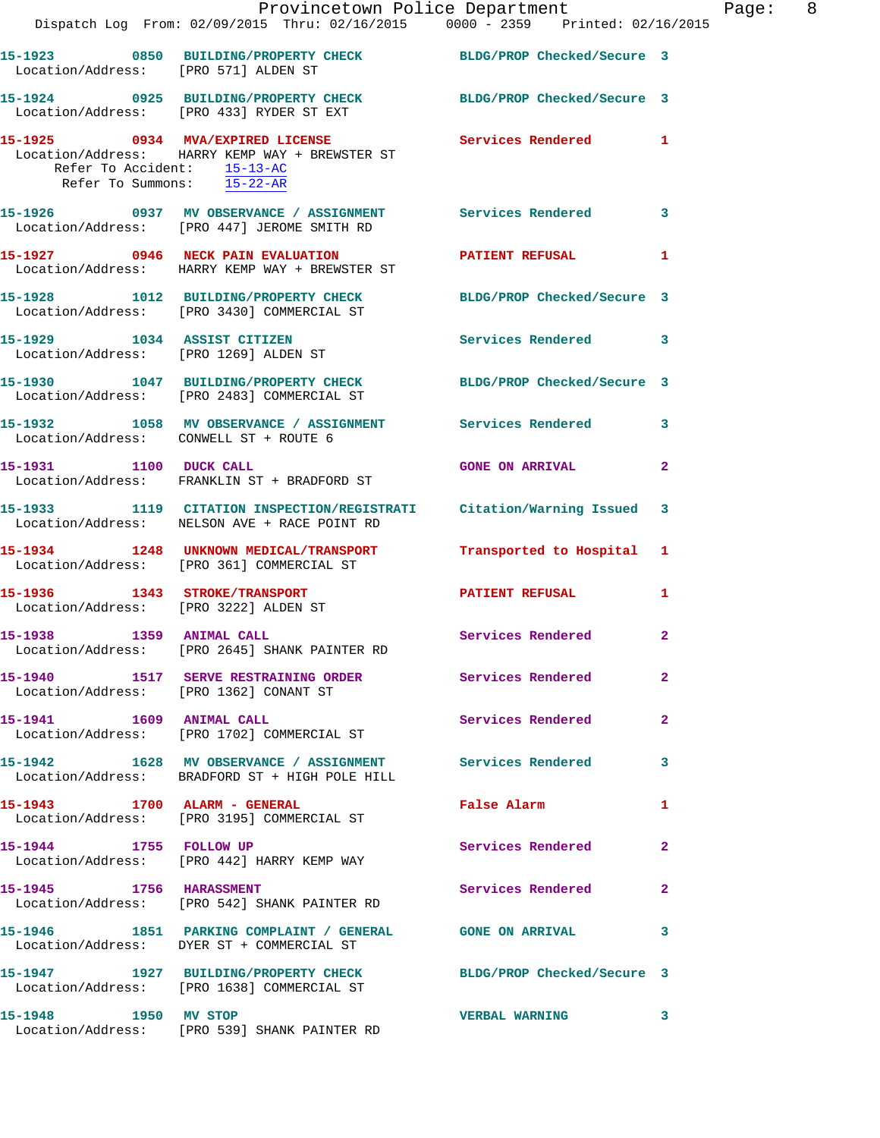|                                                           | Dispatch Log From: 02/09/2015 Thru: 02/16/2015 0000 - 2359 Printed: 02/16/2015                                        | Provincetown Police Department              |              | Page: 8 |  |
|-----------------------------------------------------------|-----------------------------------------------------------------------------------------------------------------------|---------------------------------------------|--------------|---------|--|
|                                                           |                                                                                                                       |                                             |              |         |  |
|                                                           | 15-1923 0850 BUILDING/PROPERTY CHECK BLDG/PROP Checked/Secure 3<br>Location/Address: [PRO 571] ALDEN ST               |                                             |              |         |  |
|                                                           | 15-1924 0925 BUILDING/PROPERTY CHECK BLDG/PROP Checked/Secure 3<br>Location/Address: [PRO 433] RYDER ST EXT           |                                             |              |         |  |
| Refer To Accident: 15-13-AC<br>Refer To Summons: 15-22-AR | 15-1925 0934 MVA/EXPIRED LICENSE Services Rendered 1<br>Location/Address: HARRY KEMP WAY + BREWSTER ST                |                                             |              |         |  |
|                                                           | 15-1926 0937 MV OBSERVANCE / ASSIGNMENT Services Rendered 3<br>Location/Address: [PRO 447] JEROME SMITH RD            |                                             |              |         |  |
|                                                           | 15-1927 0946 NECK PAIN EVALUATION PATIENT REFUSAL 1<br>Location/Address: HARRY KEMP WAY + BREWSTER ST                 |                                             |              |         |  |
|                                                           | 15-1928 1012 BUILDING/PROPERTY CHECK BLDG/PROP Checked/Secure 3<br>Location/Address: [PRO 3430] COMMERCIAL ST         |                                             |              |         |  |
| 15-1929 1034 ASSIST CITIZEN                               | $\frac{1}{2}$<br>Location/Address: [PRO 1269] ALDEN ST                                                                | Services Rendered 3                         |              |         |  |
|                                                           | 15-1930 1047 BUILDING/PROPERTY CHECK BLDG/PROP Checked/Secure 3<br>Location/Address: [PRO 2483] COMMERCIAL ST         |                                             |              |         |  |
|                                                           | 15-1932 1058 MV OBSERVANCE / ASSIGNMENT Services Rendered 3<br>Location/Address: CONWELL ST + ROUTE 6                 |                                             |              |         |  |
|                                                           | 15-1931 1100 DUCK CALL<br>Location/Address: FRANKLIN ST + BRADFORD ST                                                 | <b>GONE ON ARRIVAL</b>                      | $\mathbf{2}$ |         |  |
|                                                           | 15-1933 1119 CITATION INSPECTION/REGISTRATI Citation/Warning Issued 3<br>Location/Address: NELSON AVE + RACE POINT RD |                                             |              |         |  |
|                                                           | 15-1934 1248 UNKNOWN MEDICAL/TRANSPORT Transported to Hospital 1<br>Location/Address: [PRO 361] COMMERCIAL ST         |                                             |              |         |  |
| Location/Address: [PRO 3222] ALDEN ST                     | 15-1936 1343 STROKE/TRANSPORT                                                                                         | <b>PATIENT REFUSAL</b>                      | 1            |         |  |
| 15-1938 1359 ANIMAL CALL                                  | Location/Address: [PRO 2645] SHANK PAINTER RD                                                                         | <b>Services Rendered</b> 2                  |              |         |  |
|                                                           | 15-1940 1517 SERVE RESTRAINING ORDER Services Rendered<br>Location/Address: [PRO 1362] CONANT ST                      |                                             | $\mathbf{2}$ |         |  |
|                                                           | 15-1941 1609 ANIMAL CALL<br>Location/Address: [PRO 1702] COMMERCIAL ST                                                | Services Rendered                           | $\mathbf{2}$ |         |  |
|                                                           | 15-1942 1628 MV OBSERVANCE / ASSIGNMENT Services Rendered 3<br>Location/Address: BRADFORD ST + HIGH POLE HILL         |                                             |              |         |  |
|                                                           | 15-1943 1700 ALARM - GENERAL<br>Location/Address: [PRO 3195] COMMERCIAL ST                                            | False Alarm <b>Exercise Service Service</b> | 1            |         |  |
|                                                           | 15-1944 1755 FOLLOW UP<br>Location/Address: [PRO 442] HARRY KEMP WAY                                                  | Services Rendered 2                         |              |         |  |
|                                                           | 15-1945 1756 HARASSMENT<br>Location/Address: [PRO 542] SHANK PAINTER RD                                               | <b>Services Rendered</b>                    | $\mathbf{2}$ |         |  |
|                                                           | 15-1946 1851 PARKING COMPLAINT / GENERAL GONE ON ARRIVAL 3<br>Location/Address: DYER ST + COMMERCIAL ST               |                                             |              |         |  |
|                                                           | 15-1947 1927 BUILDING/PROPERTY CHECK BLDG/PROP Checked/Secure 3<br>Location/Address: [PRO 1638] COMMERCIAL ST         |                                             |              |         |  |
| 15-1948 1950 MV STOP                                      | Location/Address: [PRO 539] SHANK PAINTER RD                                                                          | VERBAL WARNING 3                            |              |         |  |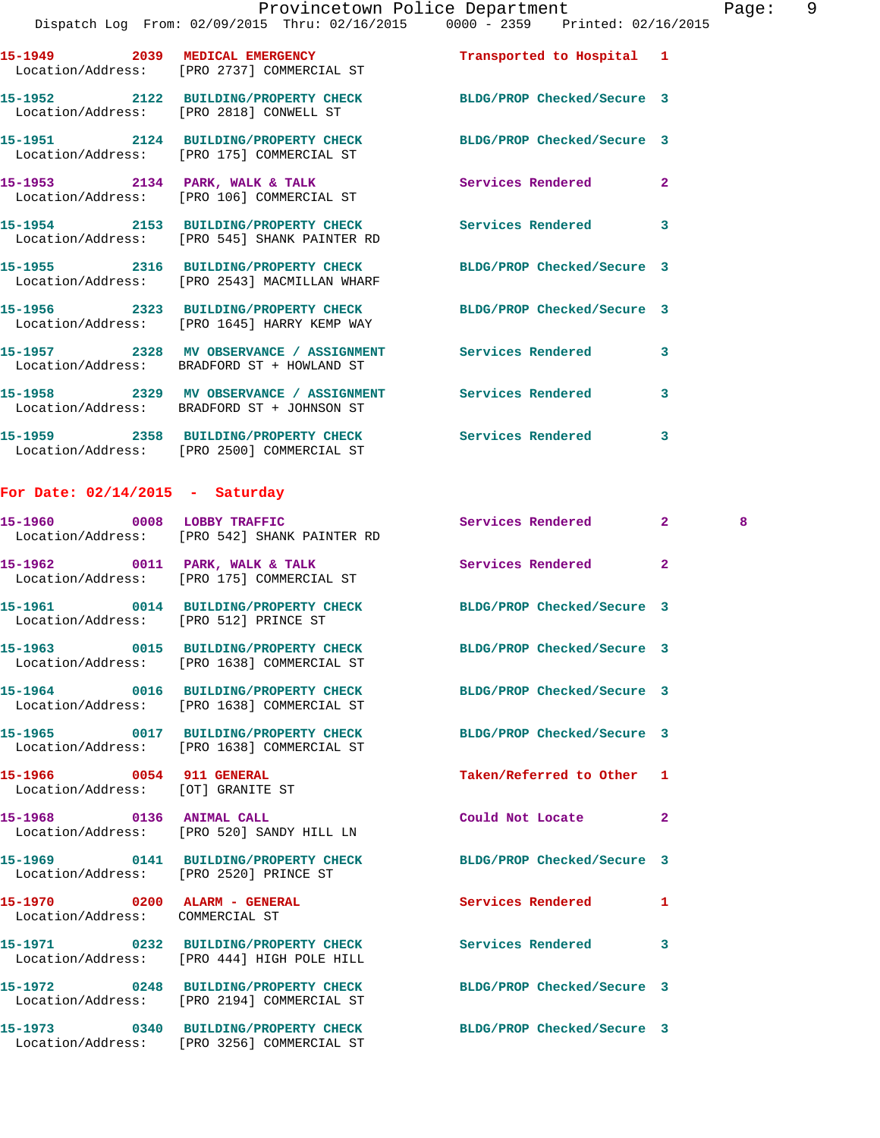|                                       | 15-1949 2039 MEDICAL EMERGENCY<br>Location/Address: [PRO 2737] COMMERCIAL ST                                  | Transported to Hospital 1  |                |   |
|---------------------------------------|---------------------------------------------------------------------------------------------------------------|----------------------------|----------------|---|
|                                       | 15-1952 2122 BUILDING/PROPERTY CHECK<br>Location/Address: [PRO 2818] CONWELL ST                               | BLDG/PROP Checked/Secure 3 |                |   |
|                                       | 15-1951 2124 BUILDING/PROPERTY CHECK<br>Location/Address: [PRO 175] COMMERCIAL ST                             | BLDG/PROP Checked/Secure 3 |                |   |
|                                       | 15-1953 2134 PARK, WALK & TALK<br>Location/Address: [PRO 106] COMMERCIAL ST                                   | Services Rendered          | $\overline{a}$ |   |
|                                       | 15-1954 2153 BUILDING/PROPERTY CHECK<br>Location/Address: [PRO 545] SHANK PAINTER RD                          | <b>Services Rendered</b>   | 3              |   |
|                                       | 15-1955 2316 BUILDING/PROPERTY CHECK<br>Location/Address: [PRO 2543] MACMILLAN WHARF                          | BLDG/PROP Checked/Secure 3 |                |   |
|                                       | 15-1956 2323 BUILDING/PROPERTY CHECK<br>Location/Address: [PRO 1645] HARRY KEMP WAY                           | BLDG/PROP Checked/Secure 3 |                |   |
|                                       | 15-1957 2328 MV OBSERVANCE / ASSIGNMENT<br>Location/Address: BRADFORD ST + HOWLAND ST                         | <b>Services Rendered</b>   | 3              |   |
|                                       | 15-1958 2329 MV OBSERVANCE / ASSIGNMENT Services Rendered<br>Location/Address: BRADFORD ST + JOHNSON ST       |                            | 3              |   |
|                                       | 15-1959 2358 BUILDING/PROPERTY CHECK Services Rendered<br>Location/Address: [PRO 2500] COMMERCIAL ST          |                            | 3              |   |
| For Date: $02/14/2015$ - Saturday     |                                                                                                               |                            |                |   |
|                                       | 15-1960 0008 LOBBY TRAFFIC<br>Location/Address: [PRO 542] SHANK PAINTER RD                                    | Services Rendered          | 2 <sup>1</sup> | 8 |
|                                       | 15-1962 0011 PARK, WALK & TALK<br>Location/Address: [PRO 175] COMMERCIAL ST                                   | Services Rendered          | $\mathbf{2}$   |   |
| Location/Address: [PRO 512] PRINCE ST | 15-1961 0014 BUILDING/PROPERTY CHECK                                                                          | BLDG/PROP Checked/Secure 3 |                |   |
|                                       | 15-1963 0015 BUILDING/PROPERTY CHECK BLDG/PROP Checked/Secure 3<br>Location/Address: [PRO 1638] COMMERCIAL ST |                            |                |   |
|                                       | 15-1964 0016 BUILDING/PROPERTY CHECK<br>Location/Address: [PRO 1638] COMMERCIAL ST                            | BLDG/PROP Checked/Secure 3 |                |   |
|                                       | 15-1965 0017 BUILDING/PROPERTY CHECK<br>Location/Address: [PRO 1638] COMMERCIAL ST                            | BLDG/PROP Checked/Secure 3 |                |   |

Location/Address: [OT] GRANITE ST

**15-1969 0141 BUILDING/PROPERTY CHECK BLDG/PROP Checked/Secure 3** 

Location/Address: COMMERCIAL ST

Location/Address: [PRO 444] HIGH POLE HILL

Location/Address: [PRO 2194] COMMERCIAL ST

Location/Address: [PRO 520] SANDY HILL LN

Location/Address: [PRO 2520] PRINCE ST

**15-1972 0248 BUILDING/PROPERTY CHECK BLDG/PROP Checked/Secure 3** 

**15-1973 0340 BUILDING/PROPERTY CHECK BLDG/PROP Checked/Secure 3**  Location/Address: [PRO 3256] COMMERCIAL ST

**15-1966 0054 911 GENERAL Taken/Referred to Other 1 15-1968 0136 ANIMAL CALL Could Not Locate 2** 

**15-1970 0200 ALARM - GENERAL Services Rendered 1 15-1971 0232 BUILDING/PROPERTY CHECK Services Rendered 3**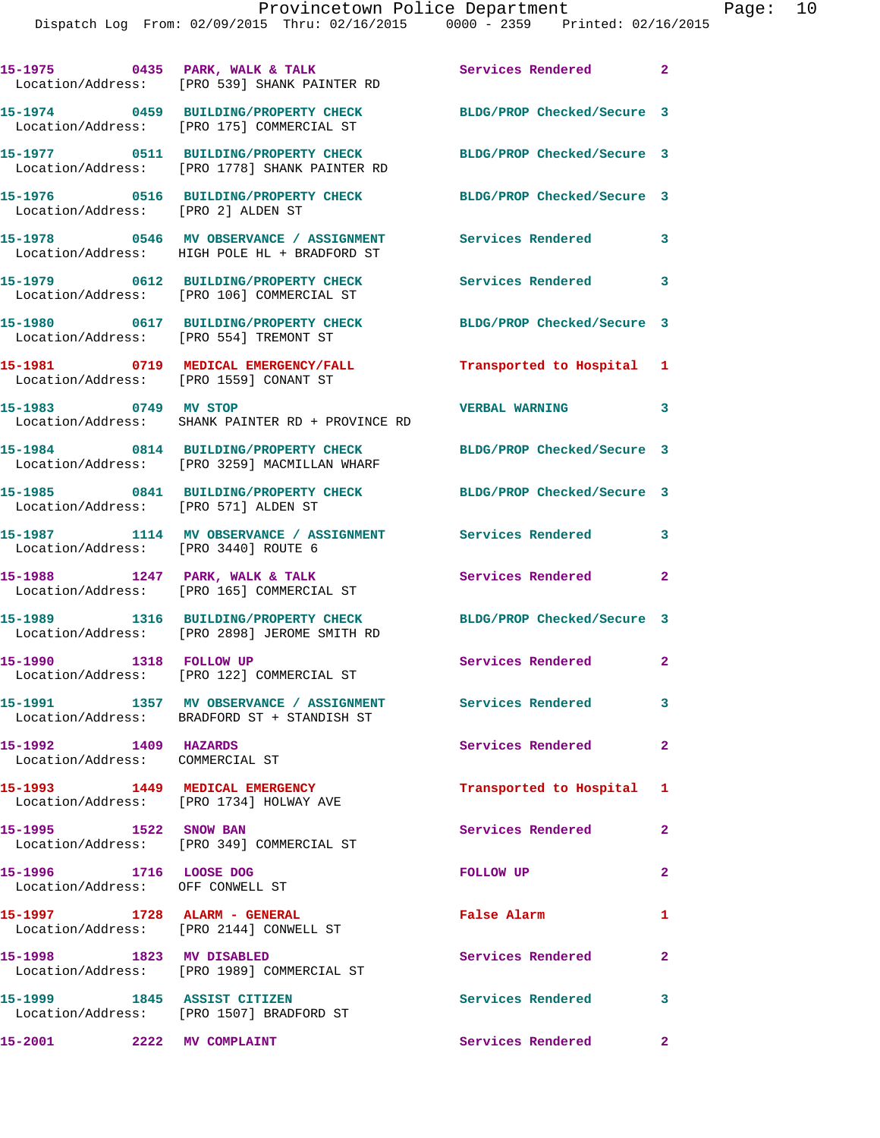|                                                            | 15-1975 0435 PARK, WALK & TALK<br>Location/Address: [PRO 539] SHANK PAINTER RD          | Services Rendered 2        |              |
|------------------------------------------------------------|-----------------------------------------------------------------------------------------|----------------------------|--------------|
|                                                            | 15-1974 0459 BUILDING/PROPERTY CHECK<br>Location/Address: [PRO 175] COMMERCIAL ST       | BLDG/PROP Checked/Secure 3 |              |
|                                                            | 15-1977 0511 BUILDING/PROPERTY CHECK<br>Location/Address: [PRO 1778] SHANK PAINTER RD   | BLDG/PROP Checked/Secure 3 |              |
| Location/Address: [PRO 2] ALDEN ST                         | 15-1976 0516 BUILDING/PROPERTY CHECK                                                    | BLDG/PROP Checked/Secure 3 |              |
|                                                            | 15-1978 0546 MV OBSERVANCE / ASSIGNMENT<br>Location/Address: HIGH POLE HL + BRADFORD ST | Services Rendered          | 3            |
|                                                            | 15-1979 0612 BUILDING/PROPERTY CHECK<br>Location/Address: [PRO 106] COMMERCIAL ST       | Services Rendered 3        |              |
| Location/Address: [PRO 554] TREMONT ST                     | 15-1980 0617 BUILDING/PROPERTY CHECK                                                    | BLDG/PROP Checked/Secure 3 |              |
| Location/Address: [PRO 1559] CONANT ST                     | 15-1981 0719 MEDICAL EMERGENCY/FALL                                                     | Transported to Hospital 1  |              |
| 15-1983 0749 MV STOP                                       | Location/Address: SHANK PAINTER RD + PROVINCE RD                                        | <b>VERBAL WARNING</b>      | 3            |
|                                                            | 15-1984 0814 BUILDING/PROPERTY CHECK<br>Location/Address: [PRO 3259] MACMILLAN WHARF    | BLDG/PROP Checked/Secure 3 |              |
| Location/Address: [PRO 571] ALDEN ST                       | 15-1985 0841 BUILDING/PROPERTY CHECK                                                    | BLDG/PROP Checked/Secure 3 |              |
| Location/Address: [PRO 3440] ROUTE 6                       | 15-1987 1114 MV OBSERVANCE / ASSIGNMENT Services Rendered                               |                            | 3            |
|                                                            | 15-1988 1247 PARK, WALK & TALK<br>Location/Address: [PRO 165] COMMERCIAL ST             | Services Rendered          | $\mathbf{2}$ |
|                                                            | 15-1989 1316 BUILDING/PROPERTY CHECK<br>Location/Address: [PRO 2898] JEROME SMITH RD    | BLDG/PROP Checked/Secure 3 |              |
| 15-1990 1318 FOLLOW UP                                     | Location/Address: [PRO 122] COMMERCIAL ST                                               | Services Rendered          | $\mathbf{2}$ |
|                                                            | 15-1991 1357 MV OBSERVANCE / ASSIGNMENT<br>Location/Address: BRADFORD ST + STANDISH ST  | Services Rendered          | 3            |
| 1409 HAZARDS<br>15-1992<br>Location/Address: COMMERCIAL ST |                                                                                         | Services Rendered          | $\mathbf{2}$ |
| 15-1993 1449 MEDICAL EMERGENCY                             | Location/Address: [PRO 1734] HOLWAY AVE                                                 | Transported to Hospital 1  |              |
| 15-1995 1522 SNOW BAN                                      | Location/Address: [PRO 349] COMMERCIAL ST                                               | Services Rendered          | $\mathbf{2}$ |
| 15-1996 1716 LOOSE DOG<br>Location/Address: OFF CONWELL ST |                                                                                         | <b>FOLLOW UP</b>           | $\mathbf{2}$ |
| 15-1997 1728 ALARM - GENERAL                               | Location/Address: [PRO 2144] CONWELL ST                                                 | False Alarm                | 1            |
| 15-1998 1823 MV DISABLED                                   | Location/Address: [PRO 1989] COMMERCIAL ST                                              | Services Rendered          | $\mathbf{2}$ |
| 15-1999 1845 ASSIST CITIZEN                                | Location/Address: [PRO 1507] BRADFORD ST                                                | Services Rendered 3        |              |

**15-2001 2222 MV COMPLAINT Services Rendered 2**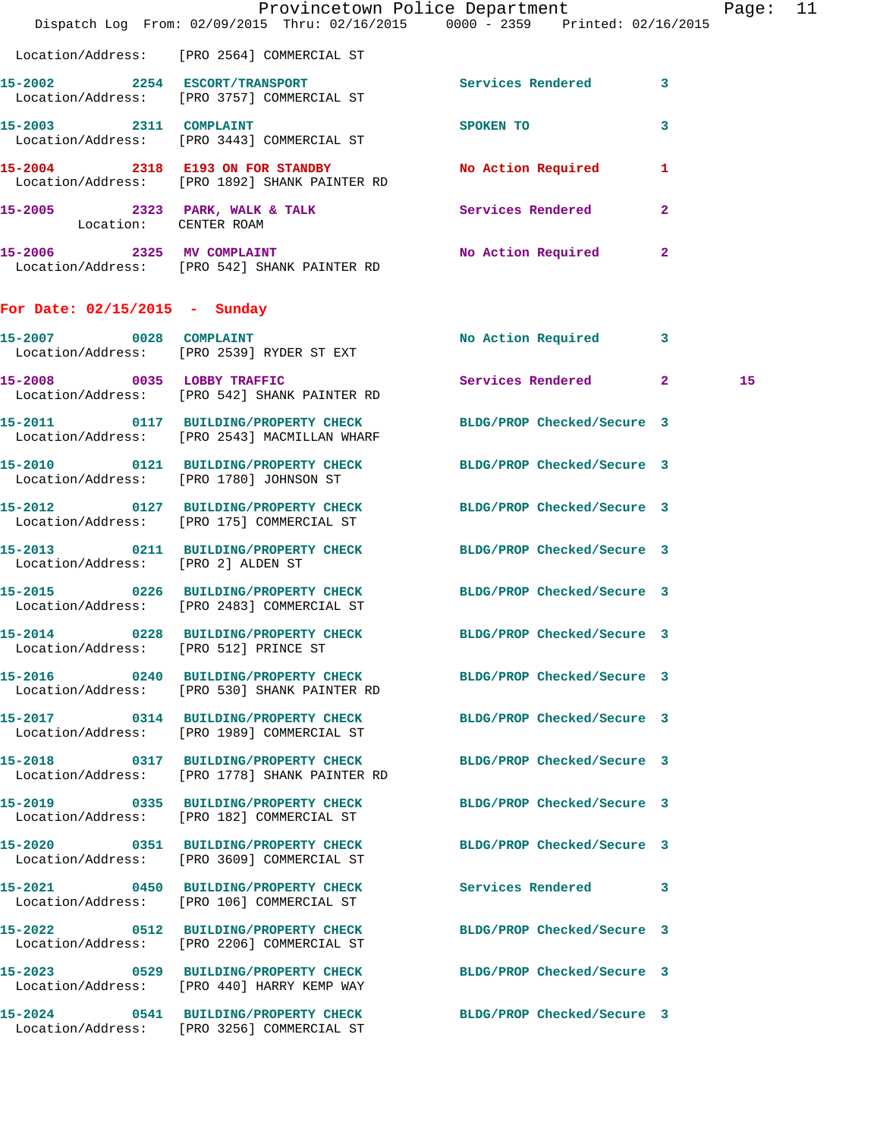|                                       | Dispatch Log From: 02/09/2015 Thru: 02/16/2015 0000 - 2359 Printed: 02/16/2015                                  | Provincetown Police Department |              | Page: 11 |  |
|---------------------------------------|-----------------------------------------------------------------------------------------------------------------|--------------------------------|--------------|----------|--|
|                                       | Location/Address: [PRO 2564] COMMERCIAL ST                                                                      |                                |              |          |  |
|                                       | 15-2002 2254 ESCORT/TRANSPORT Services Rendered 3<br>Location/Address: [PRO 3757] COMMERCIAL ST                 |                                |              |          |  |
|                                       | 15-2003 2311 COMPLAINT<br>Location/Address: [PRO 3443] COMMERCIAL ST                                            | SPOKEN TO                      | $\mathbf{3}$ |          |  |
|                                       | 15-2004 2318 E193 ON FOR STANDBY No Action Required 1<br>Location/Address: [PRO 1892] SHANK PAINTER RD          |                                |              |          |  |
| Location: CENTER ROAM                 | 15-2005 2323 PARK, WALK & TALK 3 Services Rendered                                                              |                                | $\mathbf{2}$ |          |  |
|                                       | 15-2006 2325 MV COMPLAINT NO No Action Required 2<br>Location/Address: [PRO 542] SHANK PAINTER RD               |                                |              |          |  |
| For Date: $02/15/2015$ - Sunday       |                                                                                                                 |                                |              |          |  |
|                                       | 15-2007 0028 COMPLAINT<br>Location/Address: [PRO 2539] RYDER ST EXT                                             | No Action Required 3           |              |          |  |
|                                       | 15-2008 0035 LOBBY TRAFFIC<br>Location/Address: [PRO 542] SHANK PAINTER RD                                      | Services Rendered 2            |              | 15       |  |
|                                       | 15-2011 0117 BUILDING/PROPERTY CHECK BLDG/PROP Checked/Secure 3<br>Location/Address: [PRO 2543] MACMILLAN WHARF |                                |              |          |  |
|                                       | 15-2010 0121 BUILDING/PROPERTY CHECK BLDG/PROP Checked/Secure 3<br>Location/Address: [PRO 1780] JOHNSON ST      |                                |              |          |  |
|                                       | 15-2012 0127 BUILDING/PROPERTY CHECK BLDG/PROP Checked/Secure 3<br>Location/Address: [PRO 175] COMMERCIAL ST    |                                |              |          |  |
| Location/Address: [PRO 2] ALDEN ST    | 15-2013 0211 BUILDING/PROPERTY CHECK BLDG/PROP Checked/Secure 3                                                 |                                |              |          |  |
|                                       | 15-2015 0226 BUILDING/PROPERTY CHECK<br>Location/Address: [PRO 2483] COMMERCIAL ST                              | BLDG/PROP Checked/Secure 3     |              |          |  |
| Location/Address: [PRO 512] PRINCE ST | 15-2014 0228 BUILDING/PROPERTY CHECK BLDG/PROP Checked/Secure 3                                                 |                                |              |          |  |
|                                       | 15-2016 0240 BUILDING/PROPERTY CHECK BLDG/PROP Checked/Secure 3<br>Location/Address: [PRO 530] SHANK PAINTER RD |                                |              |          |  |
|                                       | 15-2017 0314 BUILDING/PROPERTY CHECK BLDG/PROP Checked/Secure 3<br>Location/Address: [PRO 1989] COMMERCIAL ST   |                                |              |          |  |
|                                       | 15-2018 0317 BUILDING/PROPERTY CHECK<br>Location/Address: [PRO 1778] SHANK PAINTER RD                           | BLDG/PROP Checked/Secure 3     |              |          |  |
|                                       | 15-2019 0335 BUILDING/PROPERTY CHECK<br>Location/Address: [PRO 182] COMMERCIAL ST                               | BLDG/PROP Checked/Secure 3     |              |          |  |
|                                       | 15-2020 0351 BUILDING/PROPERTY CHECK BLDG/PROP Checked/Secure 3<br>Location/Address: [PRO 3609] COMMERCIAL ST   |                                |              |          |  |
|                                       | 15-2021 0450 BUILDING/PROPERTY CHECK<br>Location/Address: [PRO 106] COMMERCIAL ST                               | Services Rendered 3            |              |          |  |
|                                       | 15-2022 0512 BUILDING/PROPERTY CHECK BLDG/PROP Checked/Secure 3<br>Location/Address: [PRO 2206] COMMERCIAL ST   |                                |              |          |  |
|                                       | 15-2023 0529 BUILDING/PROPERTY CHECK BLDG/PROP Checked/Secure 3<br>Location/Address: [PRO 440] HARRY KEMP WAY   |                                |              |          |  |
|                                       | 15-2024 0541 BUILDING/PROPERTY CHECK BLDG/PROP Checked/Secure 3<br>Location/Address: [PRO 3256] COMMERCIAL ST   |                                |              |          |  |
|                                       |                                                                                                                 |                                |              |          |  |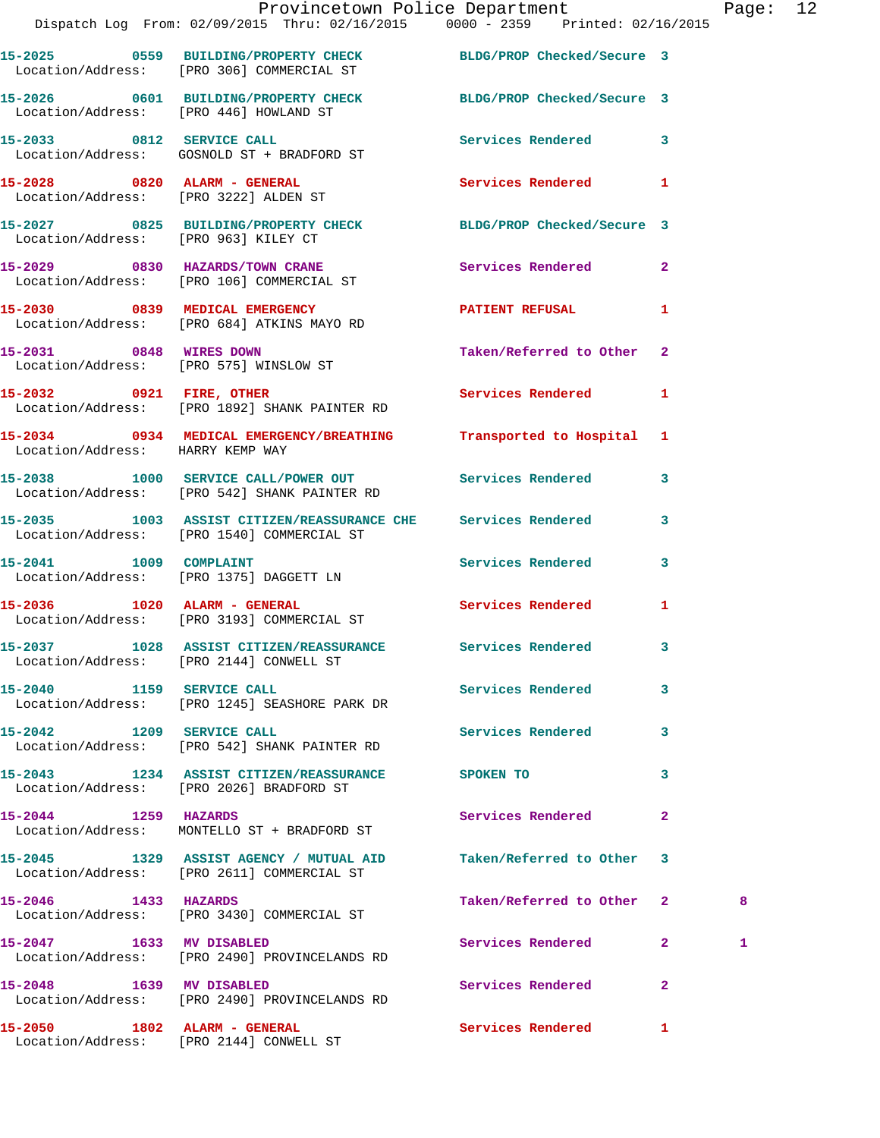|                                        | Provincetown Police Department<br>Dispatch Log From: 02/09/2015 Thru: 02/16/2015 0000 - 2359 Printed: 02/16/2015 |                           |              | Page: 12 |  |
|----------------------------------------|------------------------------------------------------------------------------------------------------------------|---------------------------|--------------|----------|--|
|                                        | 15-2025 0559 BUILDING/PROPERTY CHECK BLDG/PROP Checked/Secure 3<br>Location/Address: [PRO 306] COMMERCIAL ST     |                           |              |          |  |
|                                        | 15-2026 0601 BUILDING/PROPERTY CHECK BLDG/PROP Checked/Secure 3<br>Location/Address: [PRO 446] HOWLAND ST        |                           |              |          |  |
|                                        | 15-2033 0812 SERVICE CALL<br>Location/Address: GOSNOLD ST + BRADFORD ST                                          | Services Rendered 3       |              |          |  |
|                                        | 15-2028      0820   ALARM - GENERAL<br>Location/Address:   [PRO 3222] ALDEN ST                                   | Services Rendered 1       |              |          |  |
| Location/Address: [PRO 963] KILEY CT   | 15-2027 0825 BUILDING/PROPERTY CHECK BLDG/PROP Checked/Secure 3                                                  |                           |              |          |  |
|                                        | 15-2029 0830 HAZARDS/TOWN CRANE<br>Location/Address: [PRO 106] COMMERCIAL ST                                     | Services Rendered 2       |              |          |  |
|                                        | 15-2030 0839 MEDICAL EMERGENCY<br>Location/Address: [PRO 684] ATKINS MAYO RD                                     | PATIENT REFUSAL 1         |              |          |  |
| Location/Address: [PRO 575] WINSLOW ST | 15-2031 0848 WIRES DOWN                                                                                          | Taken/Referred to Other 2 |              |          |  |
|                                        | 15-2032 0921 FIRE, OTHER<br>Location/Address: [PRO 1892] SHANK PAINTER RD                                        | Services Rendered 1       |              |          |  |
| Location/Address: HARRY KEMP WAY       | 15-2034 0934 MEDICAL EMERGENCY/BREATHING                                                                         | Transported to Hospital 1 |              |          |  |
|                                        | 15-2038 1000 SERVICE CALL/POWER OUT Services Rendered 3<br>Location/Address: [PRO 542] SHANK PAINTER RD          |                           |              |          |  |
|                                        | 15-2035 1003 ASSIST CITIZEN/REASSURANCE CHE Services Rendered<br>Location/Address: [PRO 1540] COMMERCIAL ST      |                           | $\mathbf{3}$ |          |  |
| 15-2041 1009 COMPLAINT                 | Location/Address: [PRO 1375] DAGGETT LN                                                                          | Services Rendered 3       |              |          |  |
|                                        | 15-2036 1020 ALARM - GENERAL<br>Location/Address: [PRO 3193] COMMERCIAL ST                                       | Services Rendered 1       |              |          |  |
|                                        | 15-2037 1028 ASSIST CITIZEN/REASSURANCE Services Rendered<br>Location/Address: [PRO 2144] CONWELL ST             |                           |              |          |  |
|                                        | 15-2040 1159 SERVICE CALL<br>Location/Address: [PRO 1245] SEASHORE PARK DR                                       | <b>Services Rendered</b>  | $\mathbf{3}$ |          |  |
| 15-2042 1209 SERVICE CALL              | Location/Address: [PRO 542] SHANK PAINTER RD                                                                     | Services Rendered 3       |              |          |  |
|                                        | 15-2043 1234 ASSIST CITIZEN/REASSURANCE SPOKEN TO<br>Location/Address: [PRO 2026] BRADFORD ST                    |                           | 3            |          |  |
| 15-2044 1259 HAZARDS                   | Location/Address: MONTELLO ST + BRADFORD ST                                                                      | Services Rendered         | $\mathbf{2}$ |          |  |
|                                        | 15-2045 1329 ASSIST AGENCY / MUTUAL AID<br>Location/Address: [PRO 2611] COMMERCIAL ST                            | Taken/Referred to Other 3 |              |          |  |
| 15-2046 1433 HAZARDS                   | Location/Address: [PRO 3430] COMMERCIAL ST                                                                       | Taken/Referred to Other 2 |              | 8        |  |
|                                        | 15-2047 1633 MV DISABLED<br>Location/Address: [PRO 2490] PROVINCELANDS RD                                        | Services Rendered 2       |              | 1        |  |
| 15-2048 1639 MV DISABLED               | Location/Address: [PRO 2490] PROVINCELANDS RD                                                                    | Services Rendered         | $\mathbf{2}$ |          |  |
|                                        |                                                                                                                  | Services Rendered 1       |              |          |  |

Location/Address: [PRO 2144] CONWELL ST